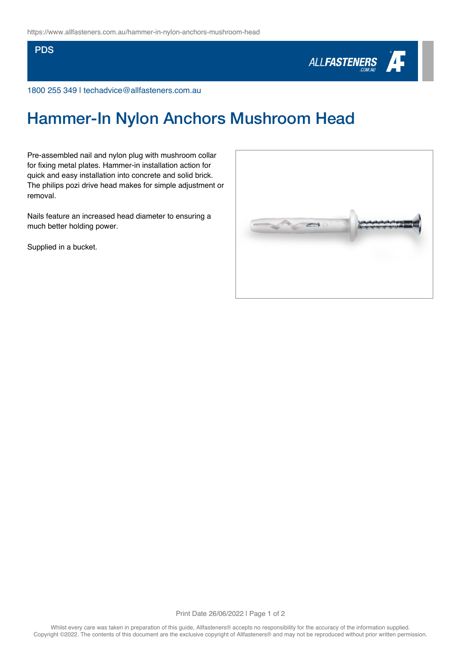## **PDS**



1800 255 349 | techadvice@allfasteners.com.au

## Hammer-In Nylon Anchors Mushroom Head

Pre-assembled nail and nylon plug with mushroom collar for fixing metal plates. Hammer-in installation action for quick and easy installation into concrete and solid brick. The philips pozi drive head makes for simple adjustment or removal.

Nails feature an increased head diameter to ensuring a much better holding power.

Supplied in a bucket.